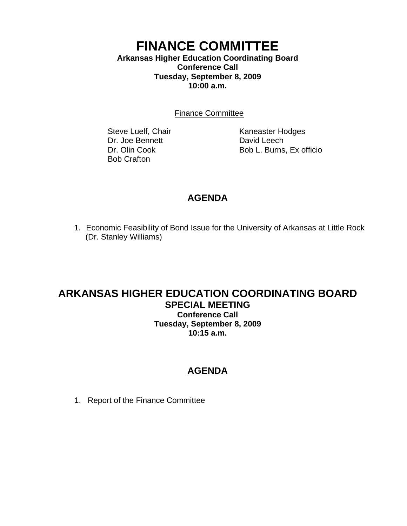### **FINANCE COMMITTEE Arkansas Higher Education Coordinating Board Conference Call**

**Tuesday, September 8, 2009 10:00 a.m.**

Finance Committee

Dr. Joe Bennett David Leech Bob Crafton

Steve Luelf, Chair Kaneaster Hodges Dr. Olin Cook Bob L. Burns, Ex officio

# **AGENDA**

1. Economic Feasibility of Bond Issue for the University of Arkansas at Little Rock (Dr. Stanley Williams)

#### **ARKANSAS HIGHER EDUCATION COORDINATING BOARD SPECIAL MEETING Conference Call Tuesday, September 8, 2009 10:15 a.m.**

## **AGENDA**

1. Report of the Finance Committee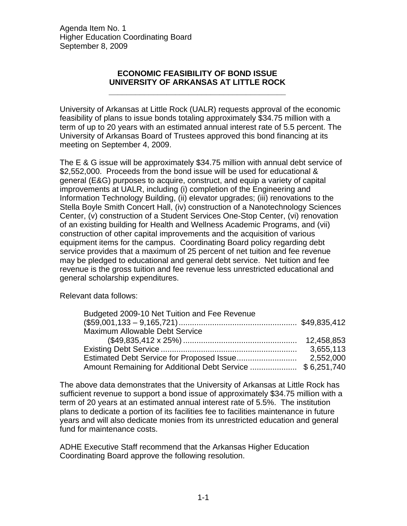Agenda Item No. 1 Higher Education Coordinating Board September 8, 2009

#### **ECONOMIC FEASIBILITY OF BOND ISSUE UNIVERSITY OF ARKANSAS AT LITTLE ROCK**

**\_\_\_\_\_\_\_\_\_\_\_\_\_\_\_\_\_\_\_\_\_\_\_\_\_\_\_\_\_\_\_\_\_\_\_\_\_\_\_\_** 

University of Arkansas at Little Rock (UALR) requests approval of the economic feasibility of plans to issue bonds totaling approximately \$34.75 million with a term of up to 20 years with an estimated annual interest rate of 5.5 percent. The University of Arkansas Board of Trustees approved this bond financing at its meeting on September 4, 2009.

The E & G issue will be approximately \$34.75 million with annual debt service of \$2,552,000. Proceeds from the bond issue will be used for educational & general (E&G) purposes to acquire, construct, and equip a variety of capital improvements at UALR, including (i) completion of the Engineering and Information Technology Building, (ii) elevator upgrades; (iii) renovations to the Stella Boyle Smith Concert Hall, (iv) construction of a Nanotechnology Sciences Center, (v) construction of a Student Services One-Stop Center, (vi) renovation of an existing building for Health and Wellness Academic Programs, and (vii) construction of other capital improvements and the acquisition of various equipment items for the campus. Coordinating Board policy regarding debt service provides that a maximum of 25 percent of net tuition and fee revenue may be pledged to educational and general debt service. Net tuition and fee revenue is the gross tuition and fee revenue less unrestricted educational and general scholarship expenditures.

Relevant data follows:

| Budgeted 2009-10 Net Tuition and Fee Revenue              |            |
|-----------------------------------------------------------|------------|
|                                                           |            |
| <b>Maximum Allowable Debt Service</b>                     |            |
|                                                           | 12,458,853 |
|                                                           | 3,655,113  |
|                                                           | 2,552,000  |
| Amount Remaining for Additional Debt Service  \$6,251,740 |            |

The above data demonstrates that the University of Arkansas at Little Rock has sufficient revenue to support a bond issue of approximately \$34.75 million with a term of 20 years at an estimated annual interest rate of 5.5%. The institution plans to dedicate a portion of its facilities fee to facilities maintenance in future years and will also dedicate monies from its unrestricted education and general fund for maintenance costs.

ADHE Executive Staff recommend that the Arkansas Higher Education Coordinating Board approve the following resolution.